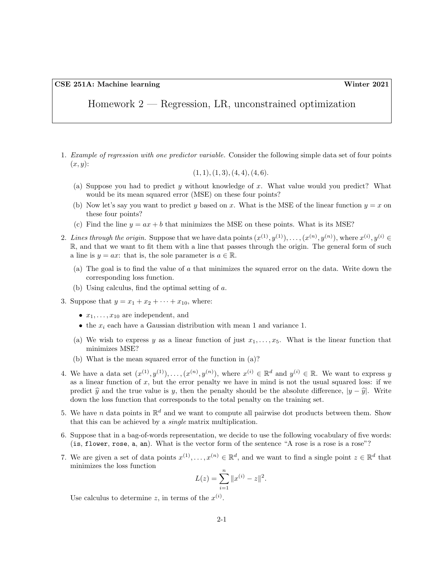Homework 2 — Regression, LR, unconstrained optimization

1. Example of regression with one predictor variable. Consider the following simple data set of four points  $(x, y)$ :

$$
(1,1), (1,3), (4,4), (4,6).
$$

- (a) Suppose you had to predict y without knowledge of x. What value would you predict? What would be its mean squared error (MSE) on these four points?
- (b) Now let's say you want to predict y based on x. What is the MSE of the linear function  $y = x$  on these four points?
- (c) Find the line  $y = ax + b$  that minimizes the MSE on these points. What is its MSE?
- 2. Lines through the origin. Suppose that we have data points  $(x^{(1)}, y^{(1)}), \ldots, (x^{(n)}, y^{(n)}),$  where  $x^{(i)}, y^{(i)} \in$ R, and that we want to fit them with a line that passes through the origin. The general form of such a line is  $y = ax$ : that is, the sole parameter is  $a \in \mathbb{R}$ .
	- (a) The goal is to find the value of a that minimizes the squared error on the data. Write down the corresponding loss function.
	- (b) Using calculus, find the optimal setting of a.
- 3. Suppose that  $y = x_1 + x_2 + \cdots + x_{10}$ , where:
	- $x_1, \ldots, x_{10}$  are independent, and
	- the  $x_i$  each have a Gaussian distribution with mean 1 and variance 1.
	- (a) We wish to express y as a linear function of just  $x_1, \ldots, x_5$ . What is the linear function that minimizes MSE?
	- (b) What is the mean squared error of the function in (a)?
- 4. We have a data set  $(x^{(1)}, y^{(1)}), \ldots, (x^{(n)}, y^{(n)})$ , where  $x^{(i)} \in \mathbb{R}^d$  and  $y^{(i)} \in \mathbb{R}$ . We want to express y as a linear function of  $x$ , but the error penalty we have in mind is not the usual squared loss: if we predict  $\hat{y}$  and the true value is y, then the penalty should be the absolute difference,  $|y - \hat{y}|$ . Write down the loss function that corresponds to the total penalty on the training set.
- 5. We have n data points in  $\mathbb{R}^d$  and we want to compute all pairwise dot products between them. Show that this can be achieved by a single matrix multiplication.
- 6. Suppose that in a bag-of-words representation, we decide to use the following vocabulary of five words: (is, flower, rose, a, an). What is the vector form of the sentence "A rose is a rose is a rose"?
- 7. We are given a set of data points  $x^{(1)}, \ldots, x^{(n)} \in \mathbb{R}^d$ , and we want to find a single point  $z \in \mathbb{R}^d$  that minimizes the loss function

$$
L(z) = \sum_{i=1}^{n} ||x^{(i)} - z||^{2}.
$$

Use calculus to determine z, in terms of the  $x^{(i)}$ .